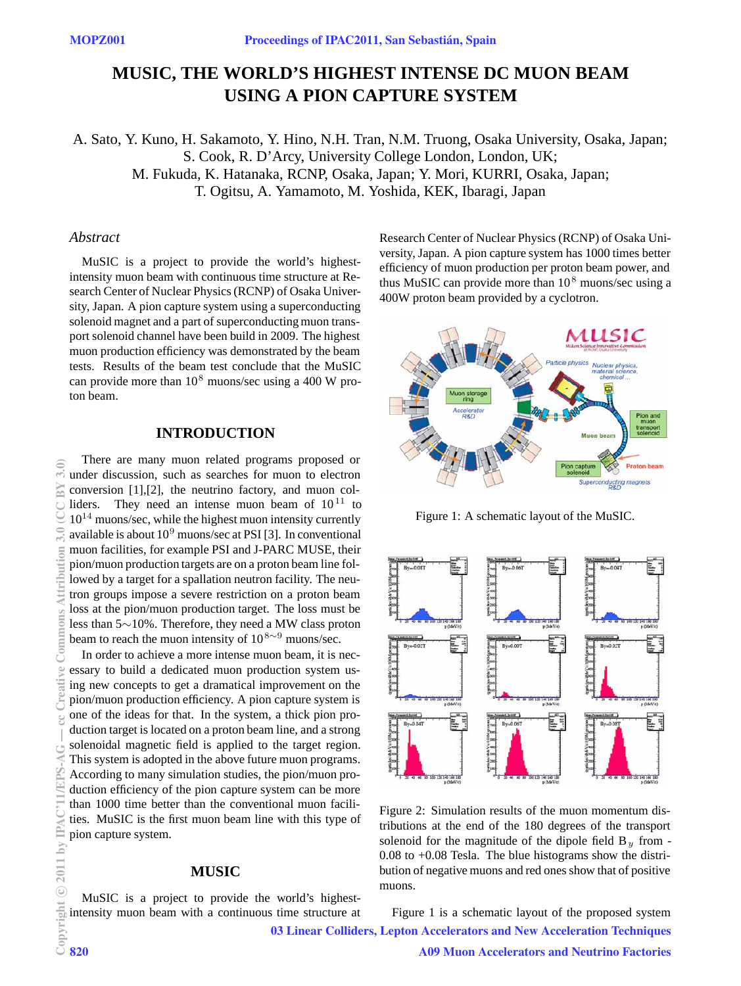# **MUSIC, THE WORLD'S HIGHEST INTENSE DC MUON BEAM USING A PION CAPTURE SYSTEM**

A. Sato, Y. Kuno, H. Sakamoto, Y. Hino, N.H. Tran, N.M. Truong, Osaka University, Osaka, Japan; S. Cook, R. D'Arcy, University College London, London, UK; M. Fukuda, K. Hatanaka, RCNP, Osaka, Japan; Y. Mori, KURRI, Osaka, Japan; T. Ogitsu, A. Yamamoto, M. Yoshida, KEK, Ibaragi, Japan

#### *Abstract*

MuSIC is a project to provide the world's highestintensity muon beam with continuous time structure at Research Center of Nuclear Physics (RCNP) of Osaka University, Japan. A pion capture system using a superconducting solenoid magnet and a part of superconducting muon transport solenoid channel have been build in 2009. The highest muon production efficiency was demonstrated by the beam tests. Results of the beam test conclude that the MuSIC can provide more than  $10^8$  muons/sec using a 400 W proton beam.

## **INTRODUCTION**

There are many muon related programs proposed or under discussion, such as searches for muon to electron conversion [1],[2], the neutrino factory, and muon colliders. They need an intense muon beam of  $10^{11}$  to  $10^{14}$  muons/sec, while the highest muon intensity currently available is about  $10^9$  muons/sec at PSI [3]. In conventional muon facilities, for example PSI and J-PARC MUSE, their pion/muon production targets are on a proton beam line followed by a target for a spallation neutron facility. The neutron groups impose a severe restriction on a proton beam loss at the pion/muon production target. The loss must be less than 5∼10%. Therefore, they need a MW class proton beam to reach the muon intensity of  $10^{8 \sim 9}$  muons/sec.

In order to achieve a more intense muon beam, it is necessary to build a dedicated muon production system using new concepts to get a dramatical improvement on the pion/muon production efficiency. A pion capture system is one of the ideas for that. In the system, a thick pion production target is located on a proton beam line, and a strong solenoidal magnetic field is applied to the target region. This system is adopted in the above future muon programs. According to many simulation studies, the pion/muon production efficiency of the pion capture system can be more than 1000 time better than the conventional muon facilities. MuSIC is the first muon beam line with this type of pion capture system.

### **MUSIC**

MuSIC is a project to provide the world's highestintensity muon beam with a continuous time structure at Research Center of Nuclear Physics (RCNP) of Osaka University, Japan. A pion capture system has 1000 times better efficiency of muon production per proton beam power, and thus MuSIC can provide more than  $10^8$  muons/sec using a 400W proton beam provided by a cyclotron.



Figure 1: A schematic layout of the MuSIC.



Figure 2: Simulation results of the muon momentum distributions at the end of the 180 degrees of the transport solenoid for the magnitude of the dipole field  $B_y$  from -0.08 to +0.08 Tesla. The blue histograms show the distribution of negative muons and red ones show that of positive muons.

Figure 1 is a schematic layout of the proposed system 03 Linear Colliders, Lepton Accelerators and New Acceleration Techniques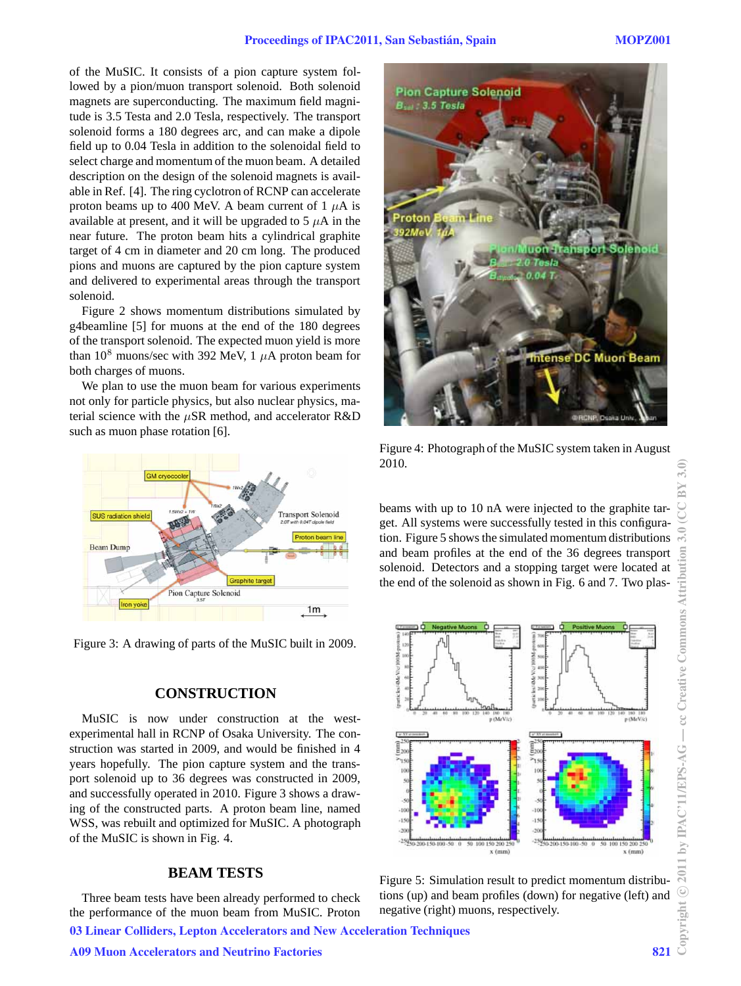of the MuSIC. It consists of a pion capture system followed by a pion/muon transport solenoid. Both solenoid magnets are superconducting. The maximum field magnitude is 3.5 Testa and 2.0 Tesla, respectively. The transport solenoid forms a 180 degrees arc, and can make a dipole field up to 0.04 Tesla in addition to the solenoidal field to select charge and momentum of the muon beam. A detailed description on the design of the solenoid magnets is available in Ref. [4]. The ring cyclotron of RCNP can accelerate proton beams up to 400 MeV. A beam current of  $1 \mu A$  is available at present, and it will be upgraded to  $5 \mu A$  in the near future. The proton beam hits a cylindrical graphite target of 4 cm in diameter and 20 cm long. The produced pions and muons are captured by the pion capture system and delivered to experimental areas through the transport solenoid.

Figure 2 shows momentum distributions simulated by g4beamline [5] for muons at the end of the 180 degrees of the transport solenoid. The expected muon yield is more than  $10^8$  muons/sec with 392 MeV, 1  $\mu$ A proton beam for both charges of muons.

We plan to use the muon beam for various experiments not only for particle physics, but also nuclear physics, material science with the *µ*SR method, and accelerator R&D such as muon phase rotation [6].



Figure 3: A drawing of parts of the MuSIC built in 2009.

#### **CONSTRUCTION**

MuSIC is now under construction at the westexperimental hall in RCNP of Osaka University. The construction was started in 2009, and would be finished in 4 years hopefully. The pion capture system and the transport solenoid up to 36 degrees was constructed in 2009, and successfully operated in 2010. Figure 3 shows a drawing of the constructed parts. A proton beam line, named WSS, was rebuilt and optimized for MuSIC. A photograph of the MuSIC is shown in Fig. 4.

## **BEAM TESTS**

Three beam tests have been already performed to check the performance of the muon beam from MuSIC. Proton



Figure 4: Photograph of the MuSIC system taken in August 2010.

beams with up to 10 nA were injected to the graphite target. All systems were successfully tested in this configuration. Figure 5 shows the simulated momentum distributions and beam profiles at the end of the 36 degrees transport solenoid. Detectors and a stopping target were located at the end of the solenoid as shown in Fig. 6 and 7. Two plas-



Figure 5: Simulation result to predict momentum distributions (up) and beam profiles (down) for negative (left) and negative (right) muons, respectively.

⊋